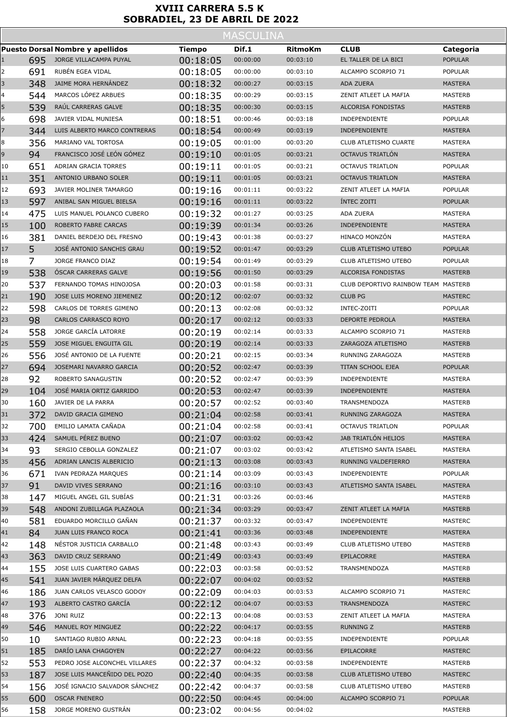## **XVIII CARRERA 5.5 K SOBRADIEL, 23 DE ABRIL DE 2022**

|              | <b>MASCULINA</b> |                                         |               |          |                |                                     |                |  |  |  |
|--------------|------------------|-----------------------------------------|---------------|----------|----------------|-------------------------------------|----------------|--|--|--|
|              |                  | <b>Puesto Dorsal Nombre y apellidos</b> | <b>Tiempo</b> | Dif.1    | <b>RitmoKm</b> | <b>CLUB</b>                         | Categoria      |  |  |  |
| $\mathbf{1}$ | 695              | JORGE VILLACAMPA PUYAL                  | 00:18:05      | 00:00:00 | 00:03:10       | EL TALLER DE LA BICI                | <b>POPULAR</b> |  |  |  |
| 2            | 691              | RUBÉN EGEA VIDAL                        | 00:18:05      | 00:00:00 | 00:03:10       | ALCAMPO SCORPIO 71                  | <b>POPULAR</b> |  |  |  |
| 3            | 348              | JAIME MORA HERNÁNDEZ                    | 00:18:32      | 00:00:27 | 00:03:15       | <b>ADA ZUERA</b>                    | <b>MASTERA</b> |  |  |  |
| 4            | 544              | MARCOS LÓPEZ ARBUES                     | 00:18:35      | 00:00:29 | 00:03:15       | ZENIT ATLEET LA MAFIA               | <b>MASTERB</b> |  |  |  |
| 5            | 539              | RAÚL CARRERAS GALVE                     | 00:18:35      | 00:00:30 | 00:03:15       | ALCORISA FONDISTAS                  | <b>MASTERB</b> |  |  |  |
| 6            | 698              | JAVIER VIDAL MUNIESA                    | 00:18:51      | 00:00:46 | 00:03:18       | INDEPENDIENTE                       | <b>POPULAR</b> |  |  |  |
| 7            | 344              | LUIS ALBERTO MARCO CONTRERAS            | 00:18:54      | 00:00:49 | 00:03:19       | INDEPENDIENTE                       | <b>MASTERA</b> |  |  |  |
| 8            | 356              | MARIANO VAL TORTOSA                     | 00:19:05      | 00:01:00 | 00:03:20       | <b>CLUB ATLETISMO CUARTE</b>        | MASTERA        |  |  |  |
| 9            | 94               | FRANCISCO JOSÉ LEÓN GÓMEZ               | 00:19:10      | 00:01:05 | 00:03:21       | OCTAVUS TRIATLÓN                    | <b>MASTERA</b> |  |  |  |
| 10           | 651              | ADRIAN GRACIA TORRES                    | 00:19:11      | 00:01:05 | 00:03:21       | <b>OCTAVUS TRIATLON</b>             | <b>POPULAR</b> |  |  |  |
| 11           | 351              | ANTONIO URBANO SOLER                    | 00:19:11      | 00:01:05 | 00:03:21       | <b>OCTAVUS TRIATLON</b>             | <b>MASTERA</b> |  |  |  |
| 12           | 693              | JAVIER MOLINER TAMARGO                  | 00:19:16      | 00:01:11 | 00:03:22       | ZENIT ATLEET LA MAFIA               | <b>POPULAR</b> |  |  |  |
| 13           | 597              | ANIBAL SAN MIGUEL BIELSA                | 00:19:16      | 00:01:11 | 00:03:22       | INTEC ZOITI                         | <b>POPULAR</b> |  |  |  |
| 14           | 475              | LUIS MANUEL POLANCO CUBERO              | 00:19:32      | 00:01:27 | 00:03:25       | ADA ZUERA                           | MASTERA        |  |  |  |
| 15           | 100              | ROBERTO FABRE CARCAS                    | 00:19:39      | 00:01:34 | 00:03:26       | INDEPENDIENTE                       | <b>MASTERA</b> |  |  |  |
| 16           | 381              | DANIEL BERDEJO DEL FRESNO               | 00:19:43      | 00:01:38 | 00:03:27       | HINACO MONZÓN                       | MASTERA        |  |  |  |
| 17           | 5.               | JOSÉ ANTONIO SANCHIS GRAU               | 00:19:52      | 00:01:47 | 00:03:29       | CLUB ATLETISMO UTEBO                | <b>POPULAR</b> |  |  |  |
| 18           | 7                | JORGE FRANCO DIAZ                       | 00:19:54      | 00:01:49 | 00:03:29       | CLUB ATLETISMO UTEBO                | <b>POPULAR</b> |  |  |  |
| 19           | 538              | ÓSCAR CARRERAS GALVE                    | 00:19:56      | 00:01:50 | 00:03:29       | <b>ALCORISA FONDISTAS</b>           | <b>MASTERB</b> |  |  |  |
| 20           | 537              | FERNANDO TOMAS HINOJOSA                 | 00:20:03      | 00:01:58 | 00:03:31       | CLUB DEPORTIVO RAINBOW TEAM MASTERB |                |  |  |  |
| 21           | 190              | JOSE LUIS MORENO JIEMENEZ               | 00:20:12      | 00:02:07 | 00:03:32       | <b>CLUB PG</b>                      | <b>MASTERC</b> |  |  |  |
| 22           | 598              | CARLOS DE TORRES GIMENO                 | 00:20:13      | 00:02:08 | 00:03:32       | INTEC-ZOITI                         | <b>POPULAR</b> |  |  |  |
| 23           | 98               | <b>CARLOS CARRASCO ROYO</b>             | 00:20:17      | 00:02:12 | 00:03:33       | <b>DEPORTE PEDROLA</b>              | <b>MASTERA</b> |  |  |  |
| 24           | 558              | JORGE GARCÍA LATORRE                    | 00:20:19      | 00:02:14 | 00:03:33       | ALCAMPO SCORPIO 71                  | <b>MASTERB</b> |  |  |  |
| 25           | 559              | JOSE MIGUEL ENGUITA GIL                 | 00:20:19      | 00:02:14 | 00:03:33       | ZARAGOZA ATLETISMO                  | <b>MASTERB</b> |  |  |  |
| 26           | 556              | JOSÉ ANTONIO DE LA FUENTE               | 00:20:21      | 00:02:15 | 00:03:34       | RUNNING ZARAGOZA                    | MASTERB        |  |  |  |
| 27           | 694              | JOSEMARI NAVARRO GARCIA                 | 00:20:52      | 00:02:47 | 00:03:39       | <b>TITAN SCHOOL EJEA</b>            | <b>POPULAR</b> |  |  |  |
| 28           | 92               | ROBERTO SANAGUSTIN                      | 00:20:52      | 00:02:47 | 00:03:39       | INDEPENDIENTE                       | <b>MASTERA</b> |  |  |  |
| 29           | 104              | JOSÉ MARIA ORTIZ GARRIDO                | 00:20:53      | 00:02:47 | 00:03:39       | <b>INDEPENDIENTE</b>                | <b>MASTERA</b> |  |  |  |
| 30           | 160              | JAVIER DE LA PARRA                      | 00:20:57      | 00:02:52 | 00:03:40       | <b>TRANSMENDOZA</b>                 | <b>MASTERB</b> |  |  |  |
| 31           | 372              | DAVID GRACIA GIMENO                     | 00:21:04      | 00:02:58 | 00:03:41       | RUNNING ZARAGOZA                    | <b>MASTERA</b> |  |  |  |
| 32           | 700              | EMILIO LAMATA CAÑADA                    | 00:21:04      | 00:02:58 | 00:03:41       | <b>OCTAVUS TRIATLON</b>             | <b>POPULAR</b> |  |  |  |
| 33           | 424              | SAMUEL PÉREZ BUENO                      | 00:21:07      | 00:03:02 | 00:03:42       | JAB TRIATLÓN HELIOS                 | <b>MASTERA</b> |  |  |  |
| 34           | 93               | SERGIO CEBOLLA GONZALEZ                 | 00:21:07      | 00:03:02 | 00:03:42       | ATLETISMO SANTA ISABEL              | MASTERA        |  |  |  |
| 35           | 456              | ADRIAN LANCIS ALBERICIO                 | 00:21:13      | 00:03:08 | 00:03:43       | RUNNING VALDEFIERRO                 | <b>MASTERA</b> |  |  |  |
| 36           | 671              | IVAN PEDRAZA MARQUES                    | 00:21:14      | 00:03:09 | 00:03:43       | INDEPENDIENTE                       | <b>POPULAR</b> |  |  |  |
| 37           | 91               | DAVID VIVES SERRANO                     | 00:21:16      | 00:03:10 | 00:03:43       | ATLETISMO SANTA ISABEL              | <b>MASTERA</b> |  |  |  |
| 38           | 147              | MIGUEL ANGEL GIL SUBIAS                 | 00:21:31      | 00:03:26 | 00:03:46       |                                     | MASTERB        |  |  |  |
| 39           | 548              | ANDONI ZUBILLAGA PLAZAOLA               | 00:21:34      | 00:03:29 | 00:03:47       | ZENIT ATLEET LA MAFIA               | <b>MASTERB</b> |  |  |  |
| 40           | 581              | EDUARDO MORCILLO GAÑAN                  | 00:21:37      | 00:03:32 | 00:03:47       | INDEPENDIENTE                       | MASTERC        |  |  |  |
| 41           | 84               | JUAN LUIS FRANCO ROCA                   | 00:21:41      | 00:03:36 | 00:03:48       | INDEPENDIENTE                       | <b>MASTERA</b> |  |  |  |
| 42           | 148              | NESTOR JUSTICIA CARBALLO                | 00:21:48      | 00:03:43 | 00:03:49       | CLUB ATLETISMO UTEBO                | MASTERB        |  |  |  |
| 43           | 363              | DAVID CRUZ SERRANO                      | 00:21:49      | 00:03:43 | 00:03:49       | EPILACORRE                          | <b>MASTERA</b> |  |  |  |
| 44           | 155              | JOSE LUIS CUARTERO GABAS                | 00:22:03      | 00:03:58 | 00:03:52       | <b>TRANSMENDOZA</b>                 | <b>MASTERB</b> |  |  |  |
| 45           | 541              | JUAN JAVIER MÁRQUEZ DELFA               | 00:22:07      | 00:04:02 | 00:03:52       |                                     | <b>MASTERB</b> |  |  |  |
| 46           | 186              | JUAN CARLOS VELASCO GODOY               | 00:22:09      | 00:04:03 | 00:03:53       | ALCAMPO SCORPIO 71                  | <b>MASTERC</b> |  |  |  |
| 47           | 193              | ALBERTO CASTRO GARCÍA                   | 00:22:12      | 00:04:07 | 00:03:53       | <b>TRANSMENDOZA</b>                 | <b>MASTERC</b> |  |  |  |
| 48           | 376              | JONI RUIZ                               | 00:22:13      | 00:04:08 | 00:03:53       | ZENIT ATLEET LA MAFIA               | MASTERA        |  |  |  |
| 49           | 546              | MANUEL ROY MINGUEZ                      | 00:22:22      | 00:04:17 | 00:03:55       | RUNNING Z                           | <b>MASTERB</b> |  |  |  |
| 50           | 10               | SANTIAGO RUBIO ARNAL                    | 00:22:23      | 00:04:18 | 00:03:55       | INDEPENDIENTE                       | POPULAR        |  |  |  |
| 51           | 185              | DARÍO LANA CHAGOYEN                     | 00:22:27      | 00:04:22 | 00:03:56       | EPILACORRE                          | <b>MASTERC</b> |  |  |  |
| 52           | 553              | PEDRO JOSE ALCONCHEL VILLARES           | 00:22:37      | 00:04:32 | 00:03:58       | INDEPENDIENTE                       | MASTERB        |  |  |  |
| 53           | 187              | JOSE LUIS MANCEÑIDO DEL POZO            | 00:22:40      | 00:04:35 | 00:03:58       | CLUB ATLETISMO UTEBO                | <b>MASTERC</b> |  |  |  |
| 54           | 156              | JOSÉ IGNACIO SALVADOR SÁNCHEZ           | 00:22:42      | 00:04:37 | 00:03:58       | CLUB ATLETISMO UTEBO                | <b>MASTERB</b> |  |  |  |
| 55           | 600              | <b>OSCAR FNENERO</b>                    | 00:22:50      | 00:04:45 | 00:04:00       | ALCAMPO SCORPIO 71                  | <b>POPULAR</b> |  |  |  |
| 56           | 158              | JORGE MORENO GUSTRÁN                    | 00:23:02      | 00:04:56 | 00:04:02       |                                     | <b>MASTERB</b> |  |  |  |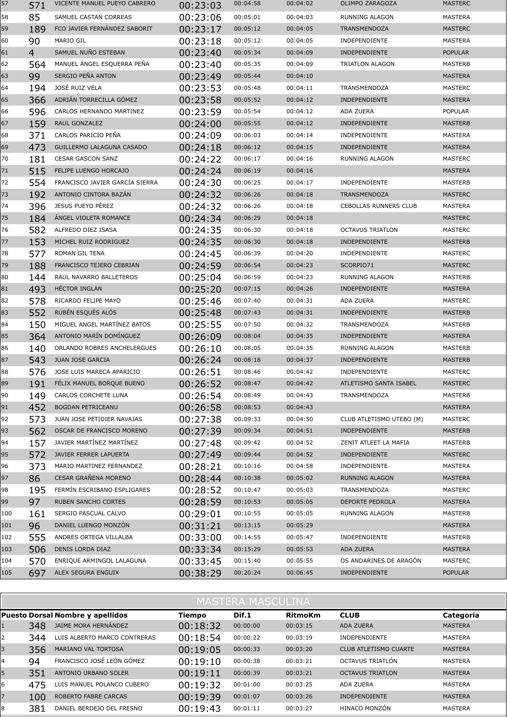| 57  | 571            | VICENTE MANUEL PUEYO CABRERO   | 00:23:03 | 00:04:58 | 00:04:02 | <b>OLIMPO ZARAGOZA</b>       | <b>MASTERC</b> |
|-----|----------------|--------------------------------|----------|----------|----------|------------------------------|----------------|
| 58  | 85             | SAMUEL CASTAN CORREAS          | 00:23:06 | 00:05:01 | 00:04:03 | RUNNING ALAGON               | MASTERA        |
| 59  | 189            | FCO JAVIER FERNÁNDEZ SABORIT   | 00:23:17 | 00:05:12 | 00:04:05 | <b>TRANSMENDOZA</b>          | <b>MASTERC</b> |
| 60  | 90             | <b>MARIO GIL</b>               | 00:23:18 | 00:05:12 | 00:04:05 | <b>INDEPENDIENTE</b>         | <b>MASTERA</b> |
| 61  | $\overline{4}$ | SAMUEL NUÑO ESTEBAN            | 00:23:40 | 00:05:34 | 00:04:09 | <b>INDEPENDIENTE</b>         | <b>POPULAR</b> |
| 62  | 564            | MANUEL ANGEL ESQUERRA PEÑA     | 00:23:40 | 00:05:35 | 00:04:09 | <b>TRIATLON ALAGON</b>       | <b>MASTERB</b> |
| 63  | 99             | SERGIO PEÑA ANTON              | 00:23:49 | 00:05:44 | 00:04:10 |                              | <b>MASTERA</b> |
| 64  | 194            | JOSÉ RUIZ VELA                 | 00:23:53 | 00:05:48 | 00:04:11 | <b>TRANSMENDOZA</b>          | <b>MASTERC</b> |
| 65  | 366            | ADRIÁN TORRECILLA GÓMEZ        | 00:23:58 | 00:05:52 | 00:04:12 | <b>INDEPENDIENTE</b>         | <b>MASTERA</b> |
| 66  | 596            | CARLOS HERNANDO MARTINEZ       | 00:23:59 | 00:05:54 | 00:04:12 | <b>ADA ZUERA</b>             | <b>POPULAR</b> |
| 67  | 159            | RAUL GONZALEZ                  | 00:24:00 | 00:05:55 | 00:04:12 | <b>INDEPENDIENTE</b>         | <b>MASTERB</b> |
| 68  | 371            | CARLOS PARICIO PEÑA            | 00:24:09 | 00:06:03 | 00:04:14 | INDEPENDIENTE                | MASTERA        |
| 69  | 473            | GUILLERMO LALAGUNA CASADO      | 00:24:18 | 00:06:12 | 00:04:15 | <b>INDEPENDIENTE</b>         | <b>MASTERA</b> |
| 70  | 181            | <b>CESAR GASCON SANZ</b>       | 00:24:22 | 00:06:17 | 00:04:16 | <b>RUNNING ALAGON</b>        | MASTERC        |
| 71  | 515            | FELIPE LUENGO HORCAJO          | 00:24:24 | 00:06:19 | 00:04:16 |                              | <b>MASTERA</b> |
| 72  | 554            | FRANCISCO JAVIER GARCÍA SIERRA | 00:24:30 | 00:06:25 | 00:04:17 | <b>INDEPENDIENTE</b>         | MASTERB        |
| 73  | 192            | ANTONIO CINTORA BAZÁN          | 00:24:32 | 00:06:26 | 00:04:18 | <b>TRANSMENDOZA</b>          | <b>MASTERC</b> |
| 74  | 396            | JESUS PUEYO PÉREZ              | 00:24:32 | 00:06:26 | 00:04:18 | <b>CEBOLLAS RUNNERS CLUB</b> | MASTERA        |
| 75  | 184            | ANGEL VIOLETA ROMANCE          | 00:24:34 | 00:06:29 | 00:04:18 |                              | <b>MASTERC</b> |
| 76  | 582            | ALFREDO DIEZ ISASA             | 00:24:35 | 00:06:30 | 00:04:18 | <b>OCTAVUS TRIATLON</b>      | MASTERC        |
| 77  | 153            | MICHEL RUIZ RODRIGUEZ          | 00:24:35 | 00:06:30 | 00:04:18 | <b>INDEPENDIENTE</b>         | <b>MASTERB</b> |
| 78  | 577            | ROMAN GIL TENA                 | 00:24:45 | 00:06:39 | 00:04:20 | INDEPENDIENTE                | MASTERC        |
| 79  | 188            | FRANCISCO TEJERO CEBRIAN       | 00:24:59 | 00:06:54 | 00:04:23 | SCORPIO71                    | <b>MASTERC</b> |
| 80  | 144            | RAUL NAVARRO BALLETEROS        | 00:25:04 | 00:06:59 | 00:04:23 | RUNNING ALAGON               | MASTERB        |
| 81  | 493            | HÉCTOR INGLAN                  | 00:25:20 | 00:07:15 | 00:04:26 | <b>INDEPENDIENTE</b>         | <b>MASTERA</b> |
| 82  | 578            | RICARDO FELIPE MAYO            | 00:25:46 | 00:07:40 | 00:04:31 | ADA ZUERA                    | MASTERC        |
| 83  | 552            | RUBÉN ESQUÉS ALÓS              | 00:25:48 | 00:07:43 | 00:04:31 | <b>INDEPENDIENTE</b>         | <b>MASTERB</b> |
| 84  | 150            | MIGUEL ANGEL MARTINEZ BATOS    | 00:25:55 | 00:07:50 | 00:04:32 | <b>TRANSMENDOZA</b>          | MASTERB        |
| 85  | 364            | ANTONIO MARÍN DOMÍNGUEZ        | 00:26:09 | 00:08:04 | 00:04:35 | <b>INDEPENDIENTE</b>         | <b>MASTERA</b> |
| 86  | 140            | ORLANDO ROBRES ANCHELERGUES    | 00:26:10 | 00:08:05 | 00:04:35 | RUNNING ALAGON               | MASTERB        |
| 87  | 543            | <b>JUAN JOSE GARCIA</b>        | 00:26:24 | 00:08:18 | 00:04:37 | <b>INDEPENDIENTE</b>         | <b>MASTERB</b> |
| 88  | 576            | JOSE LUIS MARECA APARICIO      | 00:26:51 | 00:08:46 | 00:04:42 | INDEPENDIENTE                | MASTERC        |
| 89  | 191            | FELIX MANUEL BORQUE BUENO      | 00:26:52 | 00:08:47 | 00:04:42 | ATLETISMO SANTA ISABEL       | <b>MASTERC</b> |
| 90  | 149            | CARLOS CORCHETE LUNA           | 00:26:54 | 00:08:49 | 00:04:43 | <b>TRANSMENDOZA</b>          | MASTERB        |
| 91  | 452            | <b>BOGDAN PETRICEANU</b>       | 00:26:58 | 00:08:53 | 00:04:43 |                              | <b>MASTERA</b> |
| 92  | 573            | JUAN JOSE PETIDIER NAVAJAS     | 00:27:38 | 00:09:33 | 00:04:50 | CLUB ATLETISMO UTEBO (M)     | MASTERC        |
| 93  | 562            | OSCAR DE FRANCISCO MORENO      | 00:27:39 | 00:09:34 | 00:04:51 | <b>INDEPENDIENTE</b>         | <b>MASTERB</b> |
| 94  | 157            | JAVIER MARTÍNEZ MARTÍNEZ       | 00:27:48 | 00:09:42 | 00:04:52 | ZENIT ATLEET LA MAFIA        | MASTERB        |
| 95  | 572            | JAVIER FERRER LAPUERTA         | 00:27:49 | 00:09:44 | 00:04:52 | <b>INDEPENDIENTE</b>         | <b>MASTERC</b> |
| 96  | 373            | MARIO MARTINEZ FERNANDEZ       | 00:28:21 | 00:10:16 | 00:04:58 | INDEPENDIENTE                | MASTERA        |
| 97  | 86             | <b>CESAR GRAÑENA MORENO</b>    | 00:28:44 | 00:10:38 | 00:05:02 | RUNNING ALAGON               | <b>MASTERA</b> |
| 98  | 195            | FERMÍN ESCRIBANO ESPLIGARES    | 00:28:52 | 00:10:47 | 00:05:03 | TRANSMENDOZA                 | MASTERC        |
| 99  | 97             | <b>RUBEN SANCHO CORTES</b>     | 00:28:59 | 00:10:53 | 00:05:05 | <b>DEPORTE PEDROLA</b>       | <b>MASTERA</b> |
| 100 | 161            | SERGIO PASCUAL CALVO           | 00:29:01 | 00:10:55 | 00:05:05 | RUNNING ALAGON               | MASTERB        |
| 101 | 96             | DANIEL LUENGO MONZÓN           | 00:31:21 | 00:13:15 | 00:05:29 |                              | <b>MASTERA</b> |
| 102 | 555            | ANDRES ORTEGA VILLALBA         | 00:33:00 | 00:14:55 | 00:05:47 | INDEPENDIENTE                | MASTERB        |
| 103 | 506            | DENIS LORDA DIAZ               | 00:33:34 | 00:15:29 | 00:05:53 | ADA ZUERA                    | <b>MASTERA</b> |
| 104 | 570            | ENRIQUE ARMINGOL LALAGUNA      | 00:33:45 | 00:15:40 | 00:05:55 | OS ANDARINES DE ARAGÓN       | MASTERC        |
| 105 | 697            | ALEX SEGURA ENGUIX             | 00:38:29 | 00:20:24 | 00:06:45 | <b>INDEPENDIENTE</b>         | <b>POPULAR</b> |

|   | <b>MASTERA MASCULINA</b> |                                  |          |          |                |                         |                |  |  |  |  |  |
|---|--------------------------|----------------------------------|----------|----------|----------------|-------------------------|----------------|--|--|--|--|--|
|   |                          | Puesto Dorsal Nombre y apellidos | Tiempo   | Dif.1    | <b>RitmoKm</b> | <b>CLUB</b>             | Categoria      |  |  |  |  |  |
|   | 348                      | JAIME MORA HERNÁNDEZ             | 00:18:32 | 00:00:00 | 00:03:15       | ADA ZUERA               | <b>MASTERA</b> |  |  |  |  |  |
|   | 344                      | LUIS ALBERTO MARCO CONTRERAS     | 00:18:54 | 00:00:22 | 00:03:19       | <b>INDEPENDIENTE</b>    | <b>MASTERA</b> |  |  |  |  |  |
| 3 | 356                      | <b>MARIANO VAL TORTOSA</b>       | 00:19:05 | 00:00:33 | 00:03:20       | CLUB ATLETISMO CUARTE   | <b>MASTERA</b> |  |  |  |  |  |
| 4 | 94                       | FRANCISCO JOSÉ LEÓN GÓMEZ        | 00:19:10 | 00:00:38 | 00:03:21       | OCTAVUS TRIATLÓN        | MASTERA        |  |  |  |  |  |
|   | 351                      | ANTONIO URBANO SOLER             | 00:19:11 | 00:00:39 | 00:03:21       | <b>OCTAVUS TRIATLON</b> | <b>MASTERA</b> |  |  |  |  |  |
| 6 | 475                      | LUIS MANUEL POLANCO CUBERO       | 00:19:32 | 00:01:00 | 00:03:25       | <b>ADA ZUERA</b>        | <b>MASTERA</b> |  |  |  |  |  |
|   | 100                      | ROBERTO FABRE CARCAS             | 00:19:39 | 00:01:07 | 00:03:26       | <b>INDEPENDIENTE</b>    | <b>MASTERA</b> |  |  |  |  |  |
| 8 | 381                      | DANIEL BERDEJO DEL FRESNO        | 00:19:43 | 00:01:11 | 00:03:27       | HINACO MONZÓN           | <b>MASTERA</b> |  |  |  |  |  |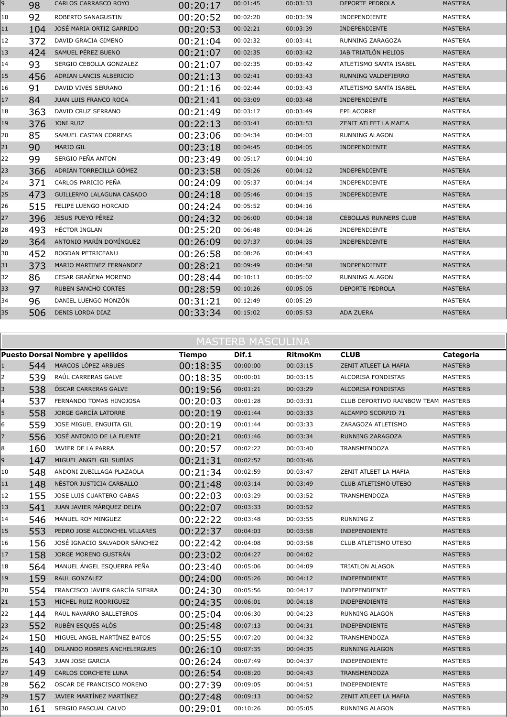| 9  | 98  | <b>CARLOS CARRASCO ROYO</b> | 00:20:17 | 00:01:45 | 00:03:33 | DEPORTE PEDROLA              | <b>MASTERA</b> |
|----|-----|-----------------------------|----------|----------|----------|------------------------------|----------------|
| 10 | 92  | ROBERTO SANAGUSTIN          | 00:20:52 | 00:02:20 | 00:03:39 | INDEPENDIENTE                | <b>MASTERA</b> |
| 11 | 104 | JOSÉ MARIA ORTIZ GARRIDO    | 00:20:53 | 00:02:21 | 00:03:39 | <b>INDEPENDIENTE</b>         | <b>MASTERA</b> |
| 12 | 372 | DAVID GRACIA GIMENO         | 00:21:04 | 00:02:32 | 00:03:41 | RUNNING ZARAGOZA             | MASTERA        |
| 13 | 424 | SAMUEL PÉREZ BUENO          | 00:21:07 | 00:02:35 | 00:03:42 | JAB TRIATLÓN HELIOS          | <b>MASTERA</b> |
| 14 | 93  | SERGIO CEBOLLA GONZALEZ     | 00:21:07 | 00:02:35 | 00:03:42 | ATLETISMO SANTA ISABEL       | MASTERA        |
| 15 | 456 | ADRIAN LANCIS ALBERICIO     | 00:21:13 | 00:02:41 | 00:03:43 | RUNNING VALDEFIERRO          | <b>MASTERA</b> |
| 16 | 91  | DAVID VIVES SERRANO         | 00:21:16 | 00:02:44 | 00:03:43 | ATLETISMO SANTA ISABEL       | <b>MASTERA</b> |
| 17 | 84  | JUAN LUIS FRANCO ROCA       | 00:21:41 | 00:03:09 | 00:03:48 | <b>INDEPENDIENTE</b>         | <b>MASTERA</b> |
| 18 | 363 | DAVID CRUZ SERRANO          | 00:21:49 | 00:03:17 | 00:03:49 | EPILACORRE                   | <b>MASTERA</b> |
| 19 | 376 | <b>JONI RUIZ</b>            | 00:22:13 | 00:03:41 | 00:03:53 | ZENIT ATLEET LA MAFIA        | <b>MASTERA</b> |
| 20 | 85  | SAMUEL CASTAN CORREAS       | 00:23:06 | 00:04:34 | 00:04:03 | RUNNING ALAGON               | MASTERA        |
| 21 | 90  | MARIO GIL                   | 00:23:18 | 00:04:45 | 00:04:05 | <b>INDEPENDIENTE</b>         | <b>MASTERA</b> |
| 22 | 99  | SERGIO PEÑA ANTON           | 00:23:49 | 00:05:17 | 00:04:10 |                              | <b>MASTERA</b> |
| 23 | 366 | ADRIÁN TORRECILLA GÓMEZ     | 00:23:58 | 00:05:26 | 00:04:12 | <b>INDEPENDIENTE</b>         | <b>MASTERA</b> |
| 24 | 371 | CARLOS PARICIO PEÑA         | 00:24:09 | 00:05:37 | 00:04:14 | INDEPENDIENTE                | MASTERA        |
| 25 | 473 | GUILLERMO LALAGUNA CASADO   | 00:24:18 | 00:05:46 | 00:04:15 | <b>INDEPENDIENTE</b>         | <b>MASTERA</b> |
| 26 | 515 | FELIPE LUENGO HORCAJO       | 00:24:24 | 00:05:52 | 00:04:16 |                              | <b>MASTERA</b> |
| 27 | 396 | JESUS PUEYO PÉREZ           | 00:24:32 | 00:06:00 | 00:04:18 | <b>CEBOLLAS RUNNERS CLUB</b> | <b>MASTERA</b> |
| 28 | 493 | HÉCTOR INGLAN               | 00:25:20 | 00:06:48 | 00:04:26 | INDEPENDIENTE                | MASTERA        |
| 29 | 364 | ANTONIO MARÍN DOMÍNGUEZ     | 00:26:09 | 00:07:37 | 00:04:35 | INDEPENDIENTE                | <b>MASTERA</b> |
| 30 | 452 | BOGDAN PETRICEANU           | 00:26:58 | 00:08:26 | 00:04:43 |                              | <b>MASTERA</b> |
| 31 | 373 | MARIO MARTINEZ FERNANDEZ    | 00:28:21 | 00:09:49 | 00:04:58 | INDEPENDIENTE                | <b>MASTERA</b> |
| 32 | 86  | CESAR GRAÑENA MORENO        | 00:28:44 | 00:10:11 | 00:05:02 | <b>RUNNING ALAGON</b>        | MASTERA        |
| 33 | 97  | <b>RUBEN SANCHO CORTES</b>  | 00:28:59 | 00:10:26 | 00:05:05 | <b>DEPORTE PEDROLA</b>       | <b>MASTERA</b> |
| 34 | 96  | DANIEL LUENGO MONZÓN        | 00:31:21 | 00:12:49 | 00:05:29 |                              | <b>MASTERA</b> |
| 35 | 506 | DENIS LORDA DIAZ            | 00:33:34 | 00:15:02 | 00:05:53 | <b>ADA ZUERA</b>             | <b>MASTERA</b> |
|    |     |                             |          |          |          |                              |                |

|             | <b>MASTERB MASCULINA</b> |                                         |               |          |                |                                     |                |  |  |  |  |
|-------------|--------------------------|-----------------------------------------|---------------|----------|----------------|-------------------------------------|----------------|--|--|--|--|
|             |                          | <b>Puesto Dorsal Nombre y apellidos</b> | <b>Tiempo</b> | Dif.1    | <b>RitmoKm</b> | <b>CLUB</b>                         | Categoria      |  |  |  |  |
| $\mathbf 1$ | 544                      | MARCOS LÓPEZ ARBUES                     | 00:18:35      | 00:00:00 | 00:03:15       | ZENIT ATLEET LA MAFIA               | <b>MASTERB</b> |  |  |  |  |
| 2           | 539                      | RAÚL CARRERAS GALVE                     | 00:18:35      | 00:00:01 | 00:03:15       | ALCORISA FONDISTAS                  | <b>MASTERB</b> |  |  |  |  |
| 3           | 538                      | <b>ÓSCAR CARRERAS GALVE</b>             | 00:19:56      | 00:01:21 | 00:03:29       | ALCORISA FONDISTAS                  | <b>MASTERB</b> |  |  |  |  |
| 4           | 537                      | FERNANDO TOMAS HINOJOSA                 | 00:20:03      | 00:01:28 | 00:03:31       | CLUB DEPORTIVO RAINBOW TEAM MASTERB |                |  |  |  |  |
| 5           | 558                      | JORGE GARCÍA LATORRE                    | 00:20:19      | 00:01:44 | 00:03:33       | ALCAMPO SCORPIO 71                  | <b>MASTERB</b> |  |  |  |  |
| 6           | 559                      | JOSE MIGUEL ENGUITA GIL                 | 00:20:19      | 00:01:44 | 00:03:33       | ZARAGOZA ATLETISMO                  | <b>MASTERB</b> |  |  |  |  |
| 7           | 556                      | JOSÉ ANTONIO DE LA FUENTE               | 00:20:21      | 00:01:46 | 00:03:34       | RUNNING ZARAGOZA                    | <b>MASTERB</b> |  |  |  |  |
| 8           | 160                      | JAVIER DE LA PARRA                      | 00:20:57      | 00:02:22 | 00:03:40       | TRANSMENDOZA                        | <b>MASTERB</b> |  |  |  |  |
| 9           | 147                      | MIGUEL ANGEL GIL SUBÍAS                 | 00:21:31      | 00:02:57 | 00:03:46       |                                     | <b>MASTERB</b> |  |  |  |  |
| 10          | 548                      | ANDONI ZUBILLAGA PLAZAOLA               | 00:21:34      | 00:02:59 | 00:03:47       | ZENIT ATLEET LA MAFIA               | <b>MASTERB</b> |  |  |  |  |
| 11          | 148                      | NÉSTOR JUSTICIA CARBALLO                | 00:21:48      | 00:03:14 | 00:03:49       | <b>CLUB ATLETISMO UTEBO</b>         | <b>MASTERB</b> |  |  |  |  |
| 12          | 155                      | JOSE LUIS CUARTERO GABAS                | 00:22:03      | 00:03:29 | 00:03:52       | TRANSMENDOZA                        | <b>MASTERB</b> |  |  |  |  |
| 13          | 541                      | JUAN JAVIER MÁRQUEZ DELFA               | 00:22:07      | 00:03:33 | 00:03:52       |                                     | <b>MASTERB</b> |  |  |  |  |
| 14          | 546                      | MANUEL ROY MINGUEZ                      | 00:22:22      | 00:03:48 | 00:03:55       | <b>RUNNING Z</b>                    | MASTERB        |  |  |  |  |
| 15          | 553                      | PEDRO JOSE ALCONCHEL VILLARES           | 00:22:37      | 00:04:03 | 00:03:58       | <b>INDEPENDIENTE</b>                | <b>MASTERB</b> |  |  |  |  |
| 16          | 156                      | JOSÉ IGNACIO SALVADOR SÁNCHEZ           | 00:22:42      | 00:04:08 | 00:03:58       | CLUB ATLETISMO UTEBO                | <b>MASTERB</b> |  |  |  |  |
| 17          | 158                      | JORGE MORENO GUSTRÁN                    | 00:23:02      | 00:04:27 | 00:04:02       |                                     | <b>MASTERB</b> |  |  |  |  |
| 18          | 564                      | MANUEL ANGEL ESQUERRA PEÑA              | 00:23:40      | 00:05:06 | 00:04:09       | <b>TRIATLON ALAGON</b>              | <b>MASTERB</b> |  |  |  |  |
| 19          | 159                      | RAUL GONZALEZ                           | 00:24:00      | 00:05:26 | 00:04:12       | <b>INDEPENDIENTE</b>                | <b>MASTERB</b> |  |  |  |  |
| 20          | 554                      | FRANCISCO JAVIER GARCÍA SIERRA          | 00:24:30      | 00:05:56 | 00:04:17       | INDEPENDIENTE                       | <b>MASTERB</b> |  |  |  |  |
| 21          | 153                      | MICHEL RUIZ RODRIGUEZ                   | 00:24:35      | 00:06:01 | 00:04:18       | <b>INDEPENDIENTE</b>                | <b>MASTERB</b> |  |  |  |  |
| 22          | 144                      | RAUL NAVARRO BALLETEROS                 | 00:25:04      | 00:06:30 | 00:04:23       | RUNNING ALAGON                      | MASTERB        |  |  |  |  |
| 23          | 552                      | RUBÉN ESQUÉS ALÓS                       | 00:25:48      | 00:07:13 | 00:04:31       | <b>INDEPENDIENTE</b>                | <b>MASTERB</b> |  |  |  |  |
| 24          | 150                      | MIGUEL ANGEL MARTÍNEZ BATOS             | 00:25:55      | 00:07:20 | 00:04:32       | TRANSMENDOZA                        | <b>MASTERB</b> |  |  |  |  |
| 25          | 140                      | ORLANDO ROBRES ANCHELERGUES             | 00:26:10      | 00:07:35 | 00:04:35       | <b>RUNNING ALAGON</b>               | <b>MASTERB</b> |  |  |  |  |
| 26          | 543                      | JUAN JOSE GARCIA                        | 00:26:24      | 00:07:49 | 00:04:37       | INDEPENDIENTE                       | <b>MASTERB</b> |  |  |  |  |
| $27$        | 149                      | <b>CARLOS CORCHETE LUNA</b>             | 00:26:54      | 00:08:20 | 00:04:43       | <b>TRANSMENDOZA</b>                 | <b>MASTERB</b> |  |  |  |  |
| 28          | 562                      | OSCAR DE FRANCISCO MORENO               | 00:27:39      | 00:09:05 | 00:04:51       | INDEPENDIENTE                       | MASTERB        |  |  |  |  |
| 29          | 157                      | JAVIER MARTÍNEZ MARTÍNEZ                | 00:27:48      | 00:09:13 | 00:04:52       | ZENIT ATLEET LA MAFIA               | <b>MASTERB</b> |  |  |  |  |
| 30          | 161                      | SERGIO PASCUAL CALVO                    | 00:29:01      | 00:10:26 | 00:05:05       | RUNNING ALAGON                      | <b>MASTERB</b> |  |  |  |  |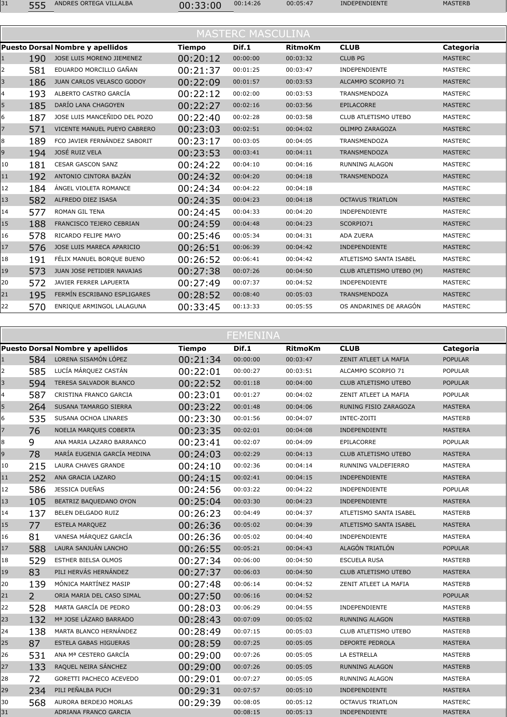| 00:05:47<br>00:14:26<br>ANDRES ORTEGA VILLALBA<br><b>INDEPENDIENTE</b><br>ににに<br>00:33:00<br>JJJ | <b>MASTERB</b> |
|--------------------------------------------------------------------------------------------------|----------------|
|--------------------------------------------------------------------------------------------------|----------------|

|    |     |                                         |               | <b>MASTERC MASCULINA</b> |                |                          |                |
|----|-----|-----------------------------------------|---------------|--------------------------|----------------|--------------------------|----------------|
|    |     | <b>Puesto Dorsal Nombre y apellidos</b> | <b>Tiempo</b> | Dif.1                    | <b>RitmoKm</b> | <b>CLUB</b>              | Categoria      |
| 1  | 190 | JOSE LUIS MORENO JIEMENEZ               | 00:20:12      | 00:00:00                 | 00:03:32       | <b>CLUB PG</b>           | <b>MASTERC</b> |
| 2  | 581 | EDUARDO MORCILLO GAÑAN                  | 00:21:37      | 00:01:25                 | 00:03:47       | <b>INDEPENDIENTE</b>     | <b>MASTERC</b> |
| 3  | 186 | JUAN CARLOS VELASCO GODOY               | 00:22:09      | 00:01:57                 | 00:03:53       | ALCAMPO SCORPIO 71       | <b>MASTERC</b> |
| 4  | 193 | ALBERTO CASTRO GARCÍA                   | 00:22:12      | 00:02:00                 | 00:03:53       | <b>TRANSMENDOZA</b>      | <b>MASTERC</b> |
| 5  | 185 | DARÍO LANA CHAGOYEN                     | 00:22:27      | 00:02:16                 | 00:03:56       | <b>EPILACORRE</b>        | <b>MASTERC</b> |
| 6  | 187 | JOSE LUIS MANCEÑIDO DEL POZO            | 00:22:40      | 00:02:28                 | 00:03:58       | CLUB ATLETISMO UTEBO     | <b>MASTERC</b> |
| 7  | 571 | VICENTE MANUEL PUEYO CABRERO            | 00:23:03      | 00:02:51                 | 00:04:02       | OLIMPO ZARAGOZA          | <b>MASTERC</b> |
| 8  | 189 | FCO JAVIER FERNÁNDEZ SABORIT            | 00:23:17      | 00:03:05                 | 00:04:05       | <b>TRANSMENDOZA</b>      | <b>MASTERC</b> |
| 9  | 194 | JOSÉ RUIZ VELA                          | 00:23:53      | 00:03:41                 | 00:04:11       | <b>TRANSMENDOZA</b>      | <b>MASTERC</b> |
| 10 | 181 | <b>CESAR GASCON SANZ</b>                | 00:24:22      | 00:04:10                 | 00:04:16       | <b>RUNNING ALAGON</b>    | <b>MASTERC</b> |
| 11 | 192 | ANTONIO CINTORA BAZÁN                   | 00:24:32      | 00:04:20                 | 00:04:18       | <b>TRANSMENDOZA</b>      | <b>MASTERC</b> |
| 12 | 184 | ÁNGEL VIOLETA ROMANCE                   | 00:24:34      | 00:04:22                 | 00:04:18       |                          | <b>MASTERC</b> |
| 13 | 582 | ALFREDO DIEZ ISASA                      | 00:24:35      | 00:04:23                 | 00:04:18       | <b>OCTAVUS TRIATLON</b>  | <b>MASTERC</b> |
| 14 | 577 | <b>ROMAN GIL TENA</b>                   | 00:24:45      | 00:04:33                 | 00:04:20       | INDEPENDIENTE            | <b>MASTERC</b> |
| 15 | 188 | FRANCISCO TEJERO CEBRIAN                | 00:24:59      | 00:04:48                 | 00:04:23       | SCORPIO71                | <b>MASTERC</b> |
| 16 | 578 | RICARDO FELIPE MAYO                     | 00:25:46      | 00:05:34                 | 00:04:31       | <b>ADA ZUERA</b>         | <b>MASTERC</b> |
| 17 | 576 | JOSE LUIS MARECA APARICIO               | 00:26:51      | 00:06:39                 | 00:04:42       | <b>INDEPENDIENTE</b>     | <b>MASTERC</b> |
| 18 | 191 | FÉLIX MANUEL BORQUE BUENO               | 00:26:52      | 00:06:41                 | 00:04:42       | ATLETISMO SANTA ISABEL   | <b>MASTERC</b> |
| 19 | 573 | JUAN JOSE PETIDIER NAVAJAS              | 00:27:38      | 00:07:26                 | 00:04:50       | CLUB ATLETISMO UTEBO (M) | <b>MASTERC</b> |
| 20 | 572 | JAVIER FERRER LAPUERTA                  | 00:27:49      | 00:07:37                 | 00:04:52       | INDEPENDIENTE            | <b>MASTERC</b> |
| 21 | 195 | FERMÍN ESCRIBANO ESPLIGARES             | 00:28:52      | 00:08:40                 | 00:05:03       | <b>TRANSMENDOZA</b>      | <b>MASTERC</b> |
| 22 | 570 | ENRIQUE ARMINGOL LALAGUNA               | 00:33:45      | 00:13:33                 | 00:05:55       | OS ANDARINES DE ARAGÓN   | <b>MASTERC</b> |
|    |     |                                         |               |                          |                |                          |                |

|              |                | <b>Puesto Dorsal Nombre y apellidos</b> | <b>Tiempo</b> | Dif.1    | <b>RitmoKm</b> | <b>CLUB</b>                 | Categoria      |
|--------------|----------------|-----------------------------------------|---------------|----------|----------------|-----------------------------|----------------|
| $\mathbf{1}$ | 584            | LORENA SISAMÓN LÓPEZ                    | 00:21:34      | 00:00:00 | 00:03:47       | ZENIT ATLEET LA MAFIA       | <b>POPULAR</b> |
| 2            | 585            | LUCÍA MÁRQUEZ CASTÁN                    | 00:22:01      | 00:00:27 | 00:03:51       | ALCAMPO SCORPIO 71          | <b>POPULAR</b> |
| 3            | 594            | TERESA SALVADOR BLANCO                  | 00:22:52      | 00:01:18 | 00:04:00       | <b>CLUB ATLETISMO UTEBO</b> | <b>POPULAR</b> |
| 4            | 587            | CRISTINA FRANCO GARCIA                  | 00:23:01      | 00:01:27 | 00:04:02       | ZENIT ATLEET LA MAFIA       | <b>POPULAR</b> |
| 5            | 264            | SUSANA TAMARGO SIERRA                   | 00:23:22      | 00:01:48 | 00:04:06       | RUNING FISIO ZARAGOZA       | <b>MASTERA</b> |
| 6            | 535            | SUSANA OCHOA LINARES                    | 00:23:30      | 00:01:56 | 00:04:07       | INTEC-ZOITI                 | <b>MASTERB</b> |
| 7            | 76             | NOELIA MARQUES COBERTA                  | 00:23:35      | 00:02:01 | 00:04:08       | <b>INDEPENDIENTE</b>        | <b>MASTERA</b> |
| 8            | 9              | ANA MARIA LAZARO BARRANCO               | 00:23:41      | 00:02:07 | 00:04:09       | EPILACORRE                  | <b>POPULAR</b> |
| 9            | 78             | MARÍA EUGENIA GARCÍA MEDINA             | 00:24:03      | 00:02:29 | 00:04:13       | CLUB ATLETISMO UTEBO        | <b>MASTERA</b> |
| 10           | 215            | LAURA CHAVES GRANDE                     | 00:24:10      | 00:02:36 | 00:04:14       | RUNNING VALDEFIERRO         | MASTERA        |
| 11           | 252            | ANA GRACIA LAZARO                       | 00:24:15      | 00:02:41 | 00:04:15       | <b>INDEPENDIENTE</b>        | <b>MASTERA</b> |
| 12           | 586            | JESSICA DUEÑAS                          | 00:24:56      | 00:03:22 | 00:04:22       | INDEPENDIENTE               | <b>POPULAR</b> |
| 13           | 105            | BEATRIZ BAQUEDANO OYON                  | 00:25:04      | 00:03:30 | 00:04:23       | <b>INDEPENDIENTE</b>        | <b>MASTERA</b> |
| 14           | 137            | BELEN DELGADO RUIZ                      | 00:26:23      | 00:04:49 | 00:04:37       | ATLETISMO SANTA ISABEL      | MASTERB        |
| 15           | 77             | <b>ESTELA MARQUEZ</b>                   | 00:26:36      | 00:05:02 | 00:04:39       | ATLETISMO SANTA ISABEL      | <b>MASTERA</b> |
| 16           | 81             | VANESA MÁRQUEZ GARCÍA                   | 00:26:36      | 00:05:02 | 00:04:40       | <b>INDEPENDIENTE</b>        | <b>MASTERA</b> |
| 17           | 588            | LAURA SANJUÁN LANCHO                    | 00:26:55      | 00:05:21 | 00:04:43       | ALAGÓN TRIATLÓN             | <b>POPULAR</b> |
| 18           | 529            | ESTHER BIELSA OLMOS                     | 00:27:34      | 00:06:00 | 00:04:50       | <b>ESCUELA RUSA</b>         | <b>MASTERB</b> |
| 19           | 83             | PILI HERVÁS HERNÁNDEZ                   | 00:27:37      | 00:06:03 | 00:04:50       | CLUB ATLETISMO UTEBO        | <b>MASTERA</b> |
| 20           | 139            | MÓNICA MARTÍNEZ MASIP                   | 00:27:48      | 00:06:14 | 00:04:52       | ZENIT ATLEET LA MAFIA       | MASTERB        |
| 21           | $\overline{2}$ | ORIA MARIA DEL CASO SIMAL               | 00:27:50      | 00:06:16 | 00:04:52       |                             | <b>POPULAR</b> |
| 22           | 528            | MARTA GARCÍA DE PEDRO                   | 00:28:03      | 00:06:29 | 00:04:55       | <b>INDEPENDIENTE</b>        | <b>MASTERB</b> |
| 23           | 132            | Mª JOSE LÁZARO BARRADO                  | 00:28:43      | 00:07:09 | 00:05:02       | <b>RUNNING ALAGON</b>       | <b>MASTERB</b> |
| 24           | 138            | MARTA BLANCO HERNÁNDEZ                  | 00:28:49      | 00:07:15 | 00:05:03       | CLUB ATLETISMO UTEBO        | MASTERB        |
| 25           | 87             | <b>ESTELA GABAS HIGUERAS</b>            | 00:28:59      | 00:07:25 | 00:05:05       | <b>DEPORTE PEDROLA</b>      | <b>MASTERA</b> |
| 26           | 531            | ANA Mª CESTERO GARCÍA                   | 00:29:00      | 00:07:26 | 00:05:05       | LA ESTRELLA                 | MASTERB        |
| 27           | 133            | RAQUEL NEIRA SÁNCHEZ                    | 00:29:00      | 00:07:26 | 00:05:05       | <b>RUNNING ALAGON</b>       | <b>MASTERB</b> |
| 28           | 72             | GORETTI PACHECO ACEVEDO                 | 00:29:01      | 00:07:27 | 00:05:05       | <b>RUNNING ALAGON</b>       | MASTERA        |
| 29           | 234            | PILI PEÑALBA PUCH                       | 00:29:31      | 00:07:57 | 00:05:10       | <b>INDEPENDIENTE</b>        | <b>MASTERA</b> |
| 30           | 568            | AURORA BERDEJO MORLAS                   | 00:29:39      | 00:08:05 | 00:05:12       | <b>OCTAVUS TRIATLON</b>     | <b>MASTERC</b> |
| 31           |                | ADRIANA FRANCO GARCIA                   |               | 00:08:15 | 00:05:13       | <b>INDEPENDIENTE</b>        | <b>MASTERA</b> |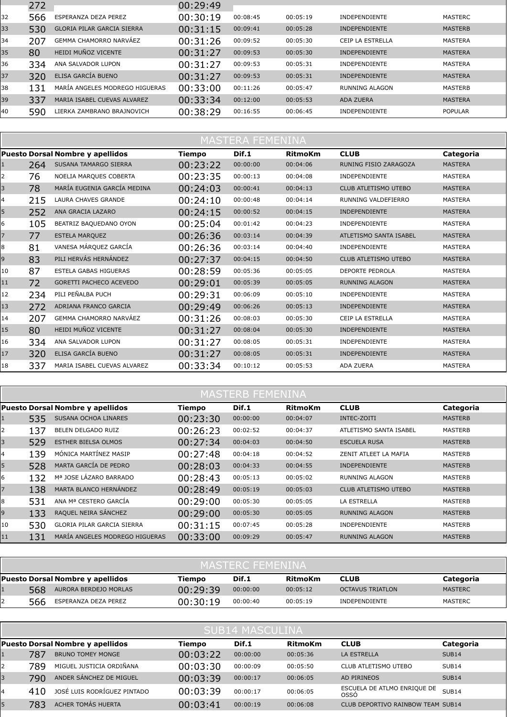|    | 272 |                                   | 00:29:49 |          |          |                       |                |
|----|-----|-----------------------------------|----------|----------|----------|-----------------------|----------------|
| 32 | 566 | ESPERANZA DEZA PEREZ              | 00:30:19 | 00:08:45 | 00:05:19 | <b>INDEPENDIENTE</b>  | MASTERC        |
| 33 | 530 | <b>GLORIA PILAR GARCIA SIERRA</b> | 00:31:15 | 00:09:41 | 00:05:28 | <b>INDEPENDIENTE</b>  | <b>MASTERB</b> |
| 34 | 207 | <b>GEMMA CHAMORRO NARVÁEZ</b>     | 00:31:26 | 00:09:52 | 00:05:30 | CEIP LA ESTRELLA      | <b>MASTERA</b> |
| 35 | 80  | HEIDI MUÑOZ VICENTE               | 00:31:27 | 00:09:53 | 00:05:30 | <b>INDEPENDIENTE</b>  | <b>MASTERA</b> |
| 36 | 334 | ANA SALVADOR LUPON                | 00:31:27 | 00:09:53 | 00:05:31 | <b>INDEPENDIENTE</b>  | <b>MASTERA</b> |
| 37 | 320 | ELISA GARCÍA BUENO                | 00:31:27 | 00:09:53 | 00:05:31 | <b>INDEPENDIENTE</b>  | <b>MASTERA</b> |
| 38 | 131 | MARÍA ANGELES MODREGO HIGUERAS    | 00:33:00 | 00:11:26 | 00:05:47 | <b>RUNNING ALAGON</b> | <b>MASTERB</b> |
| 39 | 337 | MARIA ISABEL CUEVAS ALVAREZ       | 00:33:34 | 00:12:00 | 00:05:53 | <b>ADA ZUERA</b>      | <b>MASTERA</b> |
| 40 | 590 | LIERKA ZAMBRANO BRAJNOVICH        | 00:38:29 | 00:16:55 | 00:06:45 | <b>INDEPENDIENTE</b>  | <b>POPULAR</b> |

|                | <u>MASTERA FEMENINA</u> |                                         |               |          |                |                             |                |  |  |  |  |  |
|----------------|-------------------------|-----------------------------------------|---------------|----------|----------------|-----------------------------|----------------|--|--|--|--|--|
|                |                         | <b>Puesto Dorsal Nombre y apellidos</b> | <b>Tiempo</b> | Dif.1    | <b>RitmoKm</b> | <b>CLUB</b>                 | Categoria      |  |  |  |  |  |
| 1              | 264                     | SUSANA TAMARGO SIERRA                   | 00:23:22      | 00:00:00 | 00:04:06       | RUNING FISIO ZARAGOZA       | <b>MASTERA</b> |  |  |  |  |  |
| 2              | 76                      | NOELIA MARQUES COBERTA                  | 00:23:35      | 00:00:13 | 00:04:08       | INDEPENDIENTE               | <b>MASTERA</b> |  |  |  |  |  |
| 3              | 78                      | MARÍA EUGENIA GARCÍA MEDINA             | 00:24:03      | 00:00:41 | 00:04:13       | <b>CLUB ATLETISMO UTEBO</b> | <b>MASTERA</b> |  |  |  |  |  |
| 4              | 215                     | LAURA CHAVES GRANDE                     | 00:24:10      | 00:00:48 | 00:04:14       | RUNNING VALDEFIERRO         | <b>MASTERA</b> |  |  |  |  |  |
| 5              | 252                     | ANA GRACIA LAZARO                       | 00:24:15      | 00:00:52 | 00:04:15       | <b>INDEPENDIENTE</b>        | <b>MASTERA</b> |  |  |  |  |  |
| 6              | 105                     | BEATRIZ BAQUEDANO OYON                  | 00:25:04      | 00:01:42 | 00:04:23       | <b>INDEPENDIENTE</b>        | <b>MASTERA</b> |  |  |  |  |  |
| $\overline{7}$ | 77                      | <b>ESTELA MARQUEZ</b>                   | 00:26:36      | 00:03:14 | 00:04:39       | ATLETISMO SANTA ISABEL      | <b>MASTERA</b> |  |  |  |  |  |
| 8              | 81                      | VANESA MÁRQUEZ GARCÍA                   | 00:26:36      | 00:03:14 | 00:04:40       | INDEPENDIENTE               | MASTERA        |  |  |  |  |  |
| 9              | 83                      | PILI HERVÁS HERNÁNDEZ                   | 00:27:37      | 00:04:15 | 00:04:50       | <b>CLUB ATLETISMO UTEBO</b> | <b>MASTERA</b> |  |  |  |  |  |
| 10             | 87                      | <b>ESTELA GABAS HIGUERAS</b>            | 00:28:59      | 00:05:36 | 00:05:05       | <b>DEPORTE PEDROLA</b>      | <b>MASTERA</b> |  |  |  |  |  |
| 11             | 72                      | GORETTI PACHECO ACEVEDO                 | 00:29:01      | 00:05:39 | 00:05:05       | <b>RUNNING ALAGON</b>       | <b>MASTERA</b> |  |  |  |  |  |
| 12             | 234                     | PILI PEÑALBA PUCH                       | 00:29:31      | 00:06:09 | 00:05:10       | INDEPENDIENTE               | <b>MASTERA</b> |  |  |  |  |  |
| 13             | 272                     | ADRIANA FRANCO GARCIA                   | 00:29:49      | 00:06:26 | 00:05:13       | <b>INDEPENDIENTE</b>        | <b>MASTERA</b> |  |  |  |  |  |
| 14             | 207                     | GEMMA CHAMORRO NARVÁEZ                  | 00:31:26      | 00:08:03 | 00:05:30       | CEIP LA ESTRELLA            | <b>MASTERA</b> |  |  |  |  |  |
| 15             | 80                      | HEIDI MUÑOZ VICENTE                     | 00:31:27      | 00:08:04 | 00:05:30       | INDEPENDIENTE               | <b>MASTERA</b> |  |  |  |  |  |
| 16             | 334                     | ANA SALVADOR LUPON                      | 00:31:27      | 00:08:05 | 00:05:31       | INDEPENDIENTE               | MASTERA        |  |  |  |  |  |
| 17             | 320                     | ELISA GARCÍA BUENO                      | 00:31:27      | 00:08:05 | 00:05:31       | <b>INDEPENDIENTE</b>        | <b>MASTERA</b> |  |  |  |  |  |
| 18             | 337                     | MARIA ISABEL CUEVAS ALVAREZ             | 00:33:34      | 00:10:12 | 00:05:53       | ADA ZUERA                   | <b>MASTERA</b> |  |  |  |  |  |

## **MASTERB FEMENINA**

|    |     | Puesto Dorsal Nombre y apellidos  | Tiempo   | Dif.1    | <b>RitmoKm</b> | <b>CLUB</b>                 | Categoria      |
|----|-----|-----------------------------------|----------|----------|----------------|-----------------------------|----------------|
|    | 535 | SUSANA OCHOA LINARES              | 00:23:30 | 00:00:00 | 00:04:07       | INTEC-ZOITI                 | <b>MASTERB</b> |
| 2  | 137 | BELEN DELGADO RUIZ                | 00:26:23 | 00:02:52 | 00:04:37       | ATLETISMO SANTA ISABEL      | <b>MASTERB</b> |
| 3  | 529 | <b>ESTHER BIELSA OLMOS</b>        | 00:27:34 | 00:04:03 | 00:04:50       | <b>ESCUELA RUSA</b>         | <b>MASTERB</b> |
| 4  | 139 | MÓNICA MARTÍNEZ MASIP             | 00:27:48 | 00:04:18 | 00:04:52       | ZENIT ATLEET LA MAFIA       | <b>MASTERB</b> |
| 5  | 528 | MARTA GARCÍA DE PEDRO             | 00:28:03 | 00:04:33 | 00:04:55       | <b>INDEPENDIENTE</b>        | <b>MASTERB</b> |
| 6  | 132 | Mª JOSE LÁZARO BARRADO            | 00:28:43 | 00:05:13 | 00:05:02       | <b>RUNNING ALAGON</b>       | <b>MASTERB</b> |
|    | 138 | MARTA BLANCO HERNÁNDEZ            | 00:28:49 | 00:05:19 | 00:05:03       | <b>CLUB ATLETISMO UTEBO</b> | <b>MASTERB</b> |
| 8  | 531 | ANA Mª CESTERO GARCÍA             | 00:29:00 | 00:05:30 | 00:05:05       | LA ESTRELLA                 | <b>MASTERB</b> |
| 9  | 133 | RAQUEL NEIRA SÁNCHEZ              | 00:29:00 | 00:05:30 | 00:05:05       | <b>RUNNING ALAGON</b>       | <b>MASTERB</b> |
| 10 | 530 | <b>GLORIA PILAR GARCIA SIERRA</b> | 00:31:15 | 00:07:45 | 00:05:28       | <b>INDEPENDIENTE</b>        | <b>MASTERB</b> |
| 11 | 131 | MARÍA ANGELES MODREGO HIGUERAS    | 00:33:00 | 00:09:29 | 00:05:47       | <b>RUNNING ALAGON</b>       | <b>MASTERB</b> |

| <b>MASTERC FEMENINA</b> |                                  |          |          |          |                         |                |  |  |  |  |
|-------------------------|----------------------------------|----------|----------|----------|-------------------------|----------------|--|--|--|--|
|                         | Puesto Dorsal Nombre y apellidos | Tiempo   | Dif.1    | RitmoKm  | <b>CLUB</b>             | Categoria      |  |  |  |  |
| 568                     | AURORA BERDEJO MORLAS            | 00:29:39 | 00:00:00 | 00:05:12 | <b>OCTAVUS TRIATLON</b> | <b>MASTERC</b> |  |  |  |  |
| 566                     | ESPERANZA DEZA PEREZ             | 00:30:19 | 00:00:40 | 00:05:19 | <b>INDEPENDIENTE</b>    | <b>MASTERC</b> |  |  |  |  |

|   | <b>SUB14 MASCULINA</b> |                                         |          |          |          |                                            |                   |  |  |  |
|---|------------------------|-----------------------------------------|----------|----------|----------|--------------------------------------------|-------------------|--|--|--|
|   |                        | <b>Puesto Dorsal Nombre y apellidos</b> | Tiempo   | Dif.1    | RitmoKm  | <b>CLUB</b>                                | Categoria         |  |  |  |
|   | 787                    | <b>BRUNO TOMEY MONGE</b>                | 00:03:22 | 00:00:00 | 00:05:36 | <b>LA ESTRELLA</b>                         | SUB <sub>14</sub> |  |  |  |
| 2 | 789                    | MIGUEL JUSTICIA ORDIÑANA                | 00:03:30 | 00:00:09 | 00:05:50 | CLUB ATLETISMO UTEBO                       | SUB <sub>14</sub> |  |  |  |
|   | 790                    | ANDER SÁNCHEZ DE MIGUEL                 | 00:03:39 | 00:00:17 | 00:06:05 | AD PIRINEOS                                | SUB <sub>14</sub> |  |  |  |
| 4 | 410                    | JOSÉ LUIS RODRÍGUEZ PINTADO             | 00:03:39 | 00:00:17 | 00:06:05 | ESCUELA DE ATLMO ENRIQUE DE<br><b>OSSO</b> | <b>SUB14</b>      |  |  |  |
|   | 783                    | ACHER TOMÁS HUERTA                      | 00:03:41 | 00:00:19 | 00:06:08 | CLUB DEPORTIVO RAINBOW TEAM SUB14          |                   |  |  |  |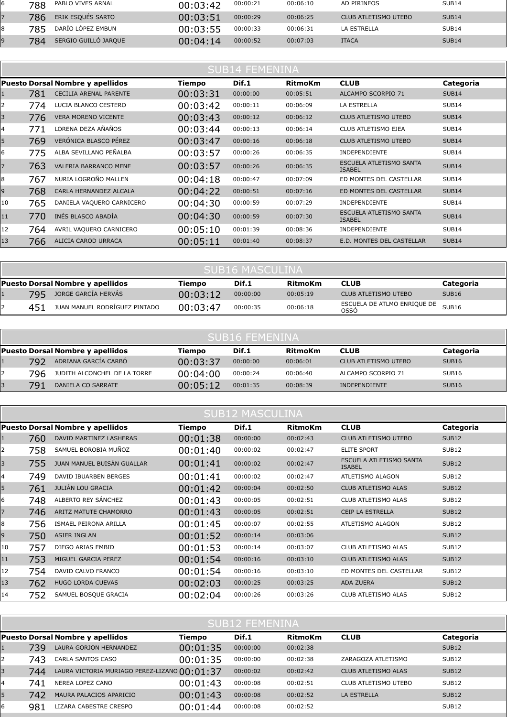| 788 | PABLO VIVES ARNAL    | 00:03:42 | 00:00:21 | 00:06:10 | AD PIRINEOS          | SUB <sub>14</sub> |
|-----|----------------------|----------|----------|----------|----------------------|-------------------|
| 786 | ERIK ESQUÉS SARTO    | 00:03:51 | 00:00:29 | 00:06:25 | CLUB ATLETISMO UTEBO | <b>SUB14</b>      |
| 785 | DARÍO LÓPEZ EMBUN    | 00:03:55 | 00:00:33 | 00:06:31 | LA ESTRELLA          | SUB <sub>14</sub> |
| 784 | SERGIO GUILLÓ JARQUE | 00:04:14 | 00:00:52 | 00:07:03 | <b>ITACA</b>         | <b>SUB14</b>      |

|    | <b>SUB14 FEMENINA</b> |                                         |               |          |                |                                          |                   |  |  |
|----|-----------------------|-----------------------------------------|---------------|----------|----------------|------------------------------------------|-------------------|--|--|
|    |                       | <b>Puesto Dorsal Nombre y apellidos</b> | <b>Tiempo</b> | Dif.1    | <b>RitmoKm</b> | <b>CLUB</b>                              | Categoria         |  |  |
|    | 781                   | CECILIA ARENAL PARENTE                  | 00:03:31      | 00:00:00 | 00:05:51       | ALCAMPO SCORPIO 71                       | <b>SUB14</b>      |  |  |
| 2  | 774                   | LUCIA BLANCO CESTERO                    | 00:03:42      | 00:00:11 | 00:06:09       | LA ESTRELLA                              | SUB <sub>14</sub> |  |  |
| 3  | 776                   | <b>VERA MORENO VICENTE</b>              | 00:03:43      | 00:00:12 | 00:06:12       | <b>CLUB ATLETISMO UTEBO</b>              | <b>SUB14</b>      |  |  |
| 4  | 771                   | LORENA DEZA AÑAÑOS                      | 00:03:44      | 00:00:13 | 00:06:14       | CLUB ATLETISMO EJEA                      | SUB14             |  |  |
| 5  | 769                   | VERÓNICA BLASCO PÉREZ                   | 00:03:47      | 00:00:16 | 00:06:18       | <b>CLUB ATLETISMO UTEBO</b>              | <b>SUB14</b>      |  |  |
| 6  | 775                   | ALBA SEVILLANO PEÑALBA                  | 00:03:57      | 00:00:26 | 00:06:35       | INDEPENDIENTE                            | SUB <sub>14</sub> |  |  |
|    | 763                   | VALERIA BARRANCO MENE                   | 00:03:57      | 00:00:26 | 00:06:35       | ESCUELA ATLETISMO SANTA<br><b>ISABEL</b> | <b>SUB14</b>      |  |  |
| 8  | 767                   | NURIA LOGROÑO MALLEN                    | 00:04:18      | 00:00:47 | 00:07:09       | ED MONTES DEL CASTELLAR                  | SUB <sub>14</sub> |  |  |
| 9  | 768                   | CARLA HERNANDEZ ALCALA                  | 00:04:22      | 00:00:51 | 00:07:16       | ED MONTES DEL CASTELLAR                  | <b>SUB14</b>      |  |  |
| 10 | 765                   | DANIELA VAQUERO CARNICERO               | 00:04:30      | 00:00:59 | 00:07:29       | <b>INDEPENDIENTE</b>                     | SUB14             |  |  |
| 11 | 770                   | INÉS BLASCO ABADÍA                      | 00:04:30      | 00:00:59 | 00:07:30       | ESCUELA ATLETISMO SANTA<br><b>ISABEL</b> | <b>SUB14</b>      |  |  |
| 12 | 764                   | AVRIL VAQUERO CARNICERO                 | 00:05:10      | 00:01:39 | 00:08:36       | <b>INDEPENDIENTE</b>                     | SUB14             |  |  |
| 13 | 766                   | ALICIA CAROD URRACA                     | 00:05:11      | 00:01:40 | 00:08:37       | E.D. MONTES DEL CASTELLAR                | <b>SUB14</b>      |  |  |

|                                                                               | <b>SUB16 MASCULINA</b> |                               |          |          |          |                                           |              |  |  |
|-------------------------------------------------------------------------------|------------------------|-------------------------------|----------|----------|----------|-------------------------------------------|--------------|--|--|
| Puesto Dorsal Nombre y apellidos<br>Dif.1<br><b>CLUB</b><br>RitmoKm<br>Tiempo |                        |                               |          |          |          | Categoria                                 |              |  |  |
|                                                                               | 795                    | JORGE GARCÍA HERVÁS           | 00:03:12 | 00:00:00 | 00:05:19 | CLUB ATLETISMO UTEBO                      | <b>SUB16</b> |  |  |
|                                                                               | 451                    | JUAN MANUEL RODRÍGUEZ PINTADO | 00:03:47 | 00:00:35 | 00:06:18 | ESCUELA DE ATLMO ENRIQUE DE SUB16<br>OSSÓ |              |  |  |

| <b>SUB16 FEMENINA</b>                                                                      |                              |          |          |          |                             |                   |  |  |  |
|--------------------------------------------------------------------------------------------|------------------------------|----------|----------|----------|-----------------------------|-------------------|--|--|--|
| Dif.1<br>Puesto Dorsal Nombre y apellidos<br>RitmoKm<br><b>CLUB</b><br>Categoria<br>Tiempo |                              |          |          |          |                             |                   |  |  |  |
| 792                                                                                        | ADRIANA GARCÍA CARBÓ         | 00:03:37 | 00:00:00 | 00:06:01 | <b>CLUB ATLETISMO UTEBO</b> | SUB <sub>16</sub> |  |  |  |
| 796                                                                                        | JUDITH ALCONCHEL DE LA TORRE | 00:04:00 | 00:00:24 | 00:06:40 | ALCAMPO SCORPIO 71          | SUB <sub>16</sub> |  |  |  |
| 791                                                                                        | DANIELA CO SARRATE           | 00:05:12 | 00:01:35 | 00:08:39 | <b>INDEPENDIENTE</b>        | <b>SUB16</b>      |  |  |  |

| <b>SUB12 MASCULINA</b> |     |                                         |          |          |                |                                          |                   |  |
|------------------------|-----|-----------------------------------------|----------|----------|----------------|------------------------------------------|-------------------|--|
|                        |     | <b>Puesto Dorsal Nombre y apellidos</b> | Tiempo   | Dif.1    | <b>RitmoKm</b> | <b>CLUB</b>                              | Categoria         |  |
|                        | 760 | DAVID MARTINEZ LASHERAS                 | 00:01:38 | 00:00:00 | 00:02:43       | CLUB ATLETISMO UTEBO                     | SUB <sub>12</sub> |  |
| 2                      | 758 | SAMUEL BOROBIA MUÑOZ                    | 00:01:40 | 00:00:02 | 00:02:47       | <b>ELITE SPORT</b>                       | SUB12             |  |
| 3                      | 755 | JUAN MANUEL BUISÁN GUALLAR              | 00:01:41 | 00:00:02 | 00:02:47       | ESCUELA ATLETISMO SANTA<br><b>ISABEL</b> | <b>SUB12</b>      |  |
| 4                      | 749 | DAVID IBUARBEN BERGES                   | 00:01:41 | 00:00:02 | 00:02:47       | ATLETISMO ALAGON                         | SUB12             |  |
| 5                      | 761 | JULIÁN LOU GRACIA                       | 00:01:42 | 00:00:04 | 00:02:50       | CLUB ATLETISMO ALAS                      | SUB <sub>12</sub> |  |
| 6                      | 748 | ALBERTO REY SÁNCHEZ                     | 00:01:43 | 00:00:05 | 00:02:51       | CLUB ATLETISMO ALAS                      | SUB12             |  |
| 7                      | 746 | ARITZ MATUTE CHAMORRO                   | 00:01:43 | 00:00:05 | 00:02:51       | CEIP LA ESTRELLA                         | SUB <sub>12</sub> |  |
| 8                      | 756 | ISMAEL PEIRONA ARILLA                   | 00:01:45 | 00:00:07 | 00:02:55       | ATLETISMO ALAGON                         | SUB <sub>12</sub> |  |
| 9                      | 750 | ASIER INGLAN                            | 00:01:52 | 00:00:14 | 00:03:06       |                                          | SUB <sub>12</sub> |  |
| 10                     | 757 | DIEGO ARIAS EMBID                       | 00:01:53 | 00:00:14 | 00:03:07       | CLUB ATLETISMO ALAS                      | SUB12             |  |
| 11                     | 753 | MIGUEL GARCIA PEREZ                     | 00:01:54 | 00:00:16 | 00:03:10       | <b>CLUB ATLETISMO ALAS</b>               | SUB <sub>12</sub> |  |
| 12                     | 754 | DAVID CALVO FRANCO                      | 00:01:54 | 00:00:16 | 00:03:10       | ED MONTES DEL CASTELLAR                  | SUB <sub>12</sub> |  |
| 13                     | 762 | HUGO LORDA CUEVAS                       | 00:02:03 | 00:00:25 | 00:03:25       | <b>ADA ZUERA</b>                         | SUB <sub>12</sub> |  |
| 14                     | 752 | SAMUEL BOSQUE GRACIA                    | 00:02:04 | 00:00:26 | 00:03:26       | CLUB ATLETISMO ALAS                      | SUB12             |  |

| <b>SUB12 FEMENINA</b> |     |                                              |          |          |                |                            |                   |  |  |
|-----------------------|-----|----------------------------------------------|----------|----------|----------------|----------------------------|-------------------|--|--|
|                       |     | <b>Puesto Dorsal Nombre y apellidos</b>      | Tiempo   | Dif.1    | <b>RitmoKm</b> | <b>CLUB</b>                | Categoria         |  |  |
|                       | 739 | LAURA GORJON HERNANDEZ                       | 00:01:35 | 00:00:00 | 00:02:38       |                            | SUB <sub>12</sub> |  |  |
|                       | 743 | CARLA SANTOS CASO                            | 00:01:35 | 00:00:00 | 00:02:38       | ZARAGOZA ATLETISMO         | SUB <sub>12</sub> |  |  |
|                       | 744 | LAURA VICTORIA MURIAGO PEREZ-LIZANO 00:01:37 |          | 00:00:02 | 00:02:42       | <b>CLUB ATLETISMO ALAS</b> | SUB <sub>12</sub> |  |  |
| 4                     | 741 | NEREA LOPEZ CANO                             | 00:01:43 | 00:00:08 | 00:02:51       | CLUB ATLETISMO UTEBO       | SUB <sub>12</sub> |  |  |
|                       | 742 | MAURA PALACIOS APARICIO                      | 00:01:43 | 00:00:08 | 00:02:52       | <b>LA ESTRELLA</b>         | SUB <sub>12</sub> |  |  |
| 6                     | 981 | LIZARA CABESTRE CRESPO                       | 00:01:44 | 00:00:08 | 00:02:52       |                            | SUB <sub>12</sub> |  |  |